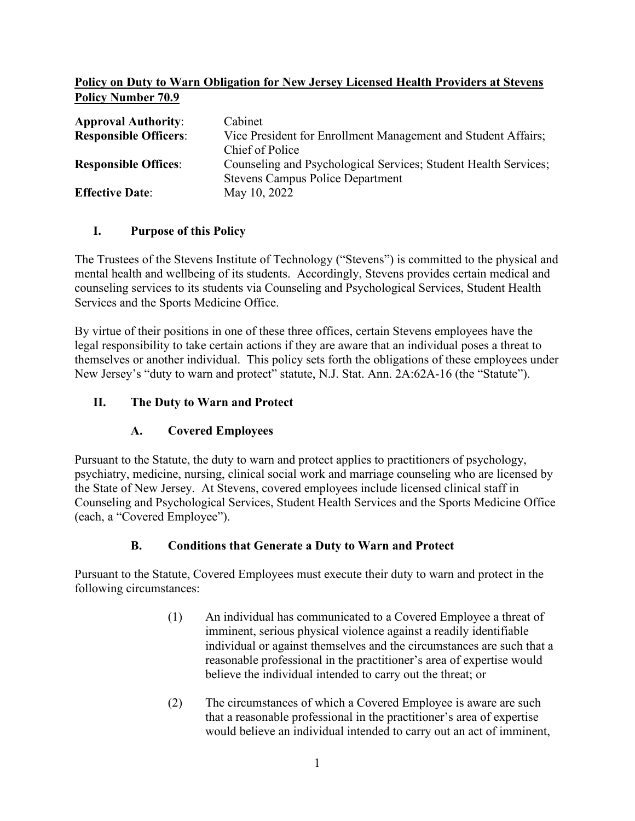### **Policy on Duty to Warn Obligation for New Jersey Licensed Health Providers at Stevens Policy Number 70.9**

| <b>Approval Authority:</b>   | Cabinet                                                         |
|------------------------------|-----------------------------------------------------------------|
| <b>Responsible Officers:</b> | Vice President for Enrollment Management and Student Affairs;   |
|                              | Chief of Police                                                 |
| <b>Responsible Offices:</b>  | Counseling and Psychological Services; Student Health Services; |
|                              | <b>Stevens Campus Police Department</b>                         |
| <b>Effective Date:</b>       | May 10, 2022                                                    |

### **I. Purpose of this Policy**

The Trustees of the Stevens Institute of Technology ("Stevens") is committed to the physical and mental health and wellbeing of its students. Accordingly, Stevens provides certain medical and counseling services to its students via Counseling and Psychological Services, Student Health Services and the Sports Medicine Office.

By virtue of their positions in one of these three offices, certain Stevens employees have the legal responsibility to take certain actions if they are aware that an individual poses a threat to themselves or another individual. This policy sets forth the obligations of these employees under New Jersey's "duty to warn and protect" statute, N.J. Stat. Ann. 2A:62A-16 (the "Statute").

## **II. The Duty to Warn and Protect**

# **A. Covered Employees**

Pursuant to the Statute, the duty to warn and protect applies to practitioners of psychology, psychiatry, medicine, nursing, clinical social work and marriage counseling who are licensed by the State of New Jersey. At Stevens, covered employees include licensed clinical staff in Counseling and Psychological Services, Student Health Services and the Sports Medicine Office (each, a "Covered Employee").

### **B. Conditions that Generate a Duty to Warn and Protect**

Pursuant to the Statute, Covered Employees must execute their duty to warn and protect in the following circumstances:

- (1) An individual has communicated to a Covered Employee a threat of imminent, serious physical violence against a readily identifiable individual or against themselves and the circumstances are such that a reasonable professional in the practitioner's area of expertise would believe the individual intended to carry out the threat; or
- (2) The circumstances of which a Covered Employee is aware are such that a reasonable professional in the practitioner's area of expertise would believe an individual intended to carry out an act of imminent,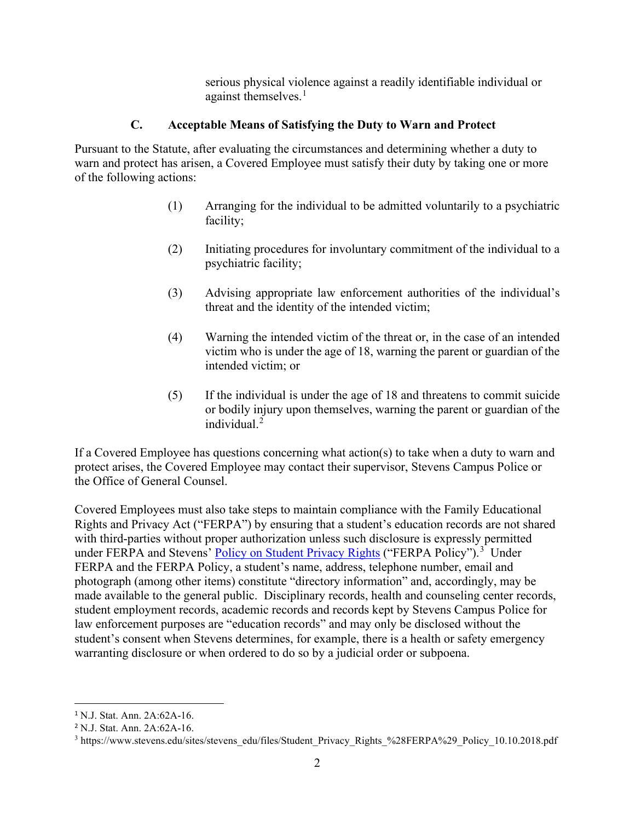serious physical violence against a readily identifiable individual or against themselves. $<sup>1</sup>$  $<sup>1</sup>$  $<sup>1</sup>$ </sup>

### **C. Acceptable Means of Satisfying the Duty to Warn and Protect**

Pursuant to the Statute, after evaluating the circumstances and determining whether a duty to warn and protect has arisen, a Covered Employee must satisfy their duty by taking one or more of the following actions:

- (1) Arranging for the individual to be admitted voluntarily to a psychiatric facility;
- (2) Initiating procedures for involuntary commitment of the individual to a psychiatric facility;
- (3) Advising appropriate law enforcement authorities of the individual's threat and the identity of the intended victim;
- (4) Warning the intended victim of the threat or, in the case of an intended victim who is under the age of 18, warning the parent or guardian of the intended victim; or
- (5) If the individual is under the age of 18 and threatens to commit suicide or bodily injury upon themselves, warning the parent or guardian of the individual. $2$

If a Covered Employee has questions concerning what action(s) to take when a duty to warn and protect arises, the Covered Employee may contact their supervisor, Stevens Campus Police or the Office of General Counsel.

Covered Employees must also take steps to maintain compliance with the Family Educational Rights and Privacy Act ("FERPA") by ensuring that a student's education records are not shared with third-parties without proper authorization unless such disclosure is expressly permitted under FERPA and Stevens' **Policy on Student Privacy Rights** ("FERPA Policy").<sup>[3](#page-1-2)</sup> Under FERPA and the FERPA Policy, a student's name, address, telephone number, email and photograph (among other items) constitute "directory information" and, accordingly, may be made available to the general public. Disciplinary records, health and counseling center records, student employment records, academic records and records kept by Stevens Campus Police for law enforcement purposes are "education records" and may only be disclosed without the student's consent when Stevens determines, for example, there is a health or safety emergency warranting disclosure or when ordered to do so by a judicial order or subpoena.

<span id="page-1-0"></span><sup>1</sup> N.J. Stat. Ann. 2A:62A-16.

<span id="page-1-1"></span><sup>2</sup> N.J. Stat. Ann. 2A:62A-16.

<span id="page-1-2"></span><sup>&</sup>lt;sup>3</sup> https://www.stevens.edu/sites/stevens\_edu/files/Student\_Privacy\_Rights\_%28FERPA%29\_Policy\_10.10.2018.pdf